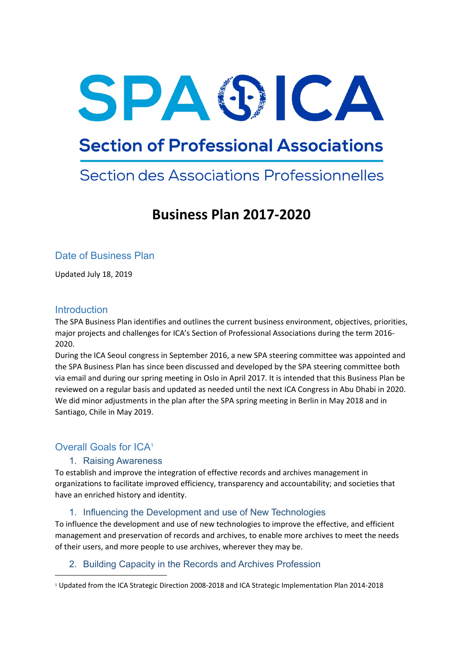# SPASICA

# **Section of Professional Associations**

# Section des Associations Professionnelles

# **Business Plan 2017-2020**

## Date of Business Plan

Updated July 18, 2019

#### **Introduction**

The SPA Business Plan identifies and outlines the current business environment, objectives, priorities, major projects and challenges for ICA's Section of Professional Associations during the term 2016- 2020.

During the ICA Seoul congress in September 2016, a new SPA steering committee was appointed and the SPA Business Plan has since been discussed and developed by the SPA steering committee both via email and during our spring meeting in Oslo in April 2017. It is intended that this Business Plan be reviewed on a regular basis and updated as needed until the next ICA Congress in Abu Dhabi in 2020. We did minor adjustments in the plan after the SPA spring meeting in Berlin in May 2018 and in Santiago, Chile in May 2019.

## Overall Goals for ICA<sup>1</sup>

#### 1. Raising Awareness

To establish and improve the integration of effective records and archives management in organizations to facilitate improved efficiency, transparency and accountability; and societies that have an enriched history and identity.

#### 1. Influencing the Development and use of New Technologies

To influence the development and use of new technologies to improve the effective, and efficient management and preservation of records and archives, to enable more archives to meet the needs of their users, and more people to use archives, wherever they may be.

#### 2. Building Capacity in the Records and Archives Profession

<sup>1</sup> Updated from the ICA Strategic Direction 2008-2018 and ICA Strategic Implementation Plan 2014-2018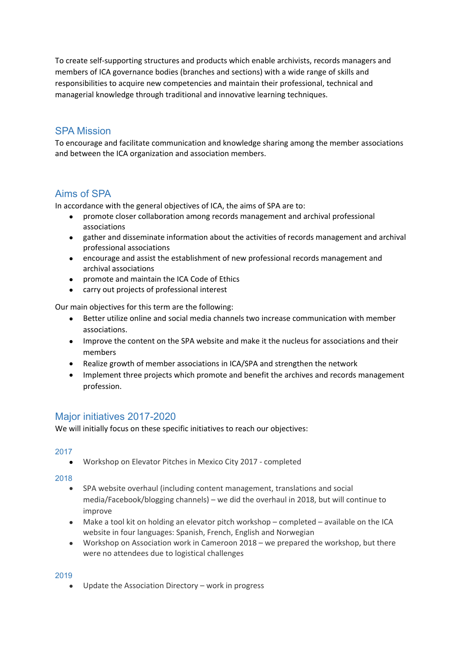To create self-supporting structures and products which enable archivists, records managers and members of ICA governance bodies (branches and sections) with a wide range of skills and responsibilities to acquire new competencies and maintain their professional, technical and managerial knowledge through traditional and innovative learning techniques.

### SPA Mission

To encourage and facilitate communication and knowledge sharing among the member associations and between the ICA organization and association members.

## Aims of SPA

In accordance with the general objectives of ICA, the aims of SPA are to:

- promote closer collaboration among records management and archival professional associations
- gather and disseminate information about the activities of records management and archival professional associations
- encourage and assist the establishment of new professional records management and archival associations
- promote and maintain the ICA Code of Ethics
- carry out projects of professional interest

Our main objectives for this term are the following:

- Better utilize online and social media channels two increase communication with member associations.
- Improve the content on the SPA website and make it the nucleus for associations and their members
- Realize growth of member associations in ICA/SPA and strengthen the network
- Implement three projects which promote and benefit the archives and records management profession.

#### Major initiatives 2017-2020

We will initially focus on these specific initiatives to reach our objectives:

#### 2017

Workshop on Elevator Pitches in Mexico City 2017 - completed

#### 2018

- SPA website overhaul (including content management, translations and social media/Facebook/blogging channels) – we did the overhaul in 2018, but will continue to improve
- Make a tool kit on holding an elevator pitch workshop completed available on the ICA website in four languages: Spanish, French, English and Norwegian
- Workshop on Association work in Cameroon 2018 we prepared the workshop, but there were no attendees due to logistical challenges

#### 2019

Update the Association Directory – work in progress